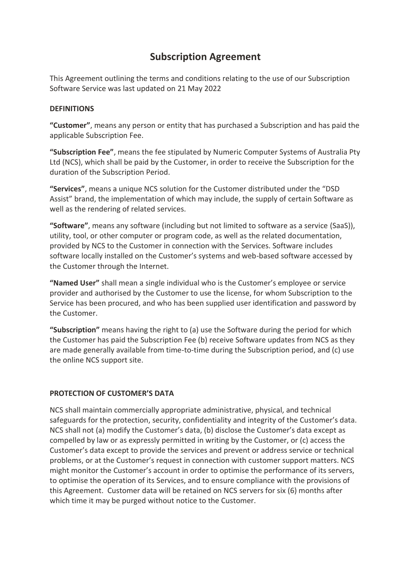# **Subscription Agreement**

This Agreement outlining the terms and conditions relating to the use of our Subscription Software Service was last updated on 21 May 2022

# **DEFINITIONS**

**"Customer"**, means any person or entity that has purchased a Subscription and has paid the applicable Subscription Fee.

**"Subscription Fee"**, means the fee stipulated by Numeric Computer Systems of Australia Pty Ltd (NCS), which shall be paid by the Customer, in order to receive the Subscription for the duration of the Subscription Period.

**"Services"**, means a unique NCS solution for the Customer distributed under the "DSD Assist" brand, the implementation of which may include, the supply of certain Software as well as the rendering of related services.

**"Software"**, means any software (including but not limited to software as a service (SaaS)), utility, tool, or other computer or program code, as well as the related documentation, provided by NCS to the Customer in connection with the Services. Software includes software locally installed on the Customer's systems and web-based software accessed by the Customer through the Internet.

**"Named User"** shall mean a single individual who is the Customer's employee or service provider and authorised by the Customer to use the license, for whom Subscription to the Service has been procured, and who has been supplied user identification and password by the Customer.

**"Subscription"** means having the right to (a) use the Software during the period for which the Customer has paid the Subscription Fee (b) receive Software updates from NCS as they are made generally available from time-to-time during the Subscription period, and (c) use the online NCS support site.

# **PROTECTION OF CUSTOMER'S DATA**

NCS shall maintain commercially appropriate administrative, physical, and technical safeguards for the protection, security, confidentiality and integrity of the Customer's data. NCS shall not (a) modify the Customer's data, (b) disclose the Customer's data except as compelled by law or as expressly permitted in writing by the Customer, or (c) access the Customer's data except to provide the services and prevent or address service or technical problems, or at the Customer's request in connection with customer support matters. NCS might monitor the Customer's account in order to optimise the performance of its servers, to optimise the operation of its Services, and to ensure compliance with the provisions of this Agreement. Customer data will be retained on NCS servers for six (6) months after which time it may be purged without notice to the Customer.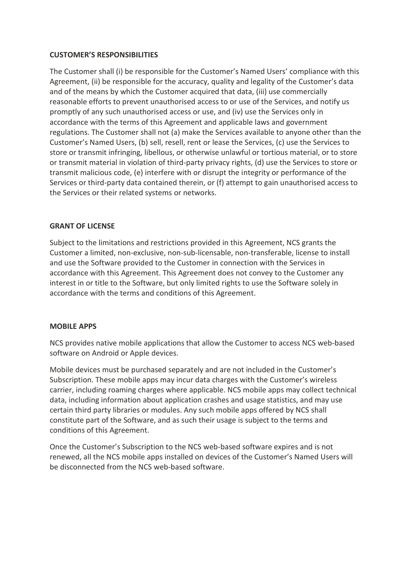## **CUSTOMER'S RESPONSIBILITIES**

The Customer shall (i) be responsible for the Customer's Named Users' compliance with this Agreement, (ii) be responsible for the accuracy, quality and legality of the Customer's data and of the means by which the Customer acquired that data, (iii) use commercially reasonable efforts to prevent unauthorised access to or use of the Services, and notify us promptly of any such unauthorised access or use, and (iv) use the Services only in accordance with the terms of this Agreement and applicable laws and government regulations. The Customer shall not (a) make the Services available to anyone other than the Customer's Named Users, (b) sell, resell, rent or lease the Services, (c) use the Services to store or transmit infringing, libellous, or otherwise unlawful or tortious material, or to store or transmit material in violation of third-party privacy rights, (d) use the Services to store or transmit malicious code, (e) interfere with or disrupt the integrity or performance of the Services or third-party data contained therein, or (f) attempt to gain unauthorised access to the Services or their related systems or networks.

## **GRANT OF LICENSE**

Subject to the limitations and restrictions provided in this Agreement, NCS grants the Customer a limited, non-exclusive, non-sub-licensable, non-transferable, license to install and use the Software provided to the Customer in connection with the Services in accordance with this Agreement. This Agreement does not convey to the Customer any interest in or title to the Software, but only limited rights to use the Software solely in accordance with the terms and conditions of this Agreement.

#### **MOBILE APPS**

NCS provides native mobile applications that allow the Customer to access NCS web-based software on Android or Apple devices.

Mobile devices must be purchased separately and are not included in the Customer's Subscription. These mobile apps may incur data charges with the Customer's wireless carrier, including roaming charges where applicable. NCS mobile apps may collect technical data, including information about application crashes and usage statistics, and may use certain third party libraries or modules. Any such mobile apps offered by NCS shall constitute part of the Software, and as such their usage is subject to the terms and conditions of this Agreement.

Once the Customer's Subscription to the NCS web-based software expires and is not renewed, all the NCS mobile apps installed on devices of the Customer's Named Users will be disconnected from the NCS web-based software.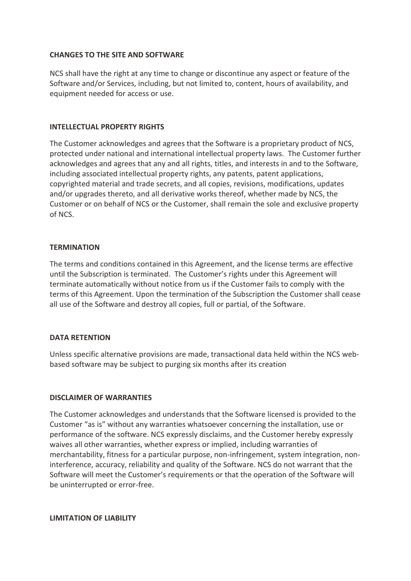## **CHANGES TO THE SITE AND SOFTWARE**

NCS shall have the right at any time to change or discontinue any aspect or feature of the Software and/or Services, including, but not limited to, content, hours of availability, and equipment needed for access or use.

## **INTELLECTUAL PROPERTY RIGHTS**

The Customer acknowledges and agrees that the Software is a proprietary product of NCS, protected under national and international intellectual property laws. The Customer further acknowledges and agrees that any and all rights, titles, and interests in and to the Software, including associated intellectual property rights, any patents, patent applications, copyrighted material and trade secrets, and all copies, revisions, modifications, updates and/or upgrades thereto, and all derivative works thereof, whether made by NCS, the Customer or on behalf of NCS or the Customer, shall remain the sole and exclusive property of NCS.

## **TERMINATION**

The terms and conditions contained in this Agreement, and the license terms are effective until the Subscription is terminated. The Customer's rights under this Agreement will terminate automatically without notice from us if the Customer fails to comply with the terms of this Agreement. Upon the termination of the Subscription the Customer shall cease all use of the Software and destroy all copies, full or partial, of the Software.

#### **DATA RETENTION**

Unless specific alternative provisions are made, transactional data held within the NCS webbased software may be subject to purging six months after its creation

#### **DISCLAIMER OF WARRANTIES**

The Customer acknowledges and understands that the Software licensed is provided to the Customer "as is" without any warranties whatsoever concerning the installation, use or performance of the software. NCS expressly disclaims, and the Customer hereby expressly waives all other warranties, whether express or implied, including warranties of merchantability, fitness for a particular purpose, non-infringement, system integration, noninterference, accuracy, reliability and quality of the Software. NCS do not warrant that the Software will meet the Customer's requirements or that the operation of the Software will be uninterrupted or error-free.

**LIMITATION OF LIABILITY**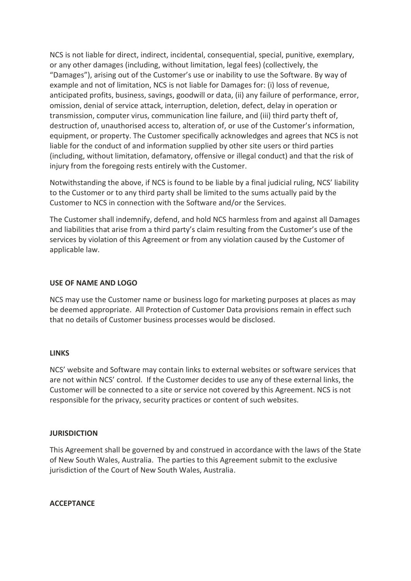NCS is not liable for direct, indirect, incidental, consequential, special, punitive, exemplary, or any other damages (including, without limitation, legal fees) (collectively, the "Damages"), arising out of the Customer's use or inability to use the Software. By way of example and not of limitation, NCS is not liable for Damages for: (i) loss of revenue, anticipated profits, business, savings, goodwill or data, (ii) any failure of performance, error, omission, denial of service attack, interruption, deletion, defect, delay in operation or transmission, computer virus, communication line failure, and (iii) third party theft of, destruction of, unauthorised access to, alteration of, or use of the Customer's information, equipment, or property. The Customer specifically acknowledges and agrees that NCS is not liable for the conduct of and information supplied by other site users or third parties (including, without limitation, defamatory, offensive or illegal conduct) and that the risk of injury from the foregoing rests entirely with the Customer.

Notwithstanding the above, if NCS is found to be liable by a final judicial ruling, NCS' liability to the Customer or to any third party shall be limited to the sums actually paid by the Customer to NCS in connection with the Software and/or the Services.

The Customer shall indemnify, defend, and hold NCS harmless from and against all Damages and liabilities that arise from a third party's claim resulting from the Customer's use of the services by violation of this Agreement or from any violation caused by the Customer of applicable law.

#### **USE OF NAME AND LOGO**

NCS may use the Customer name or business logo for marketing purposes at places as may be deemed appropriate. All Protection of Customer Data provisions remain in effect such that no details of Customer business processes would be disclosed.

#### **LINKS**

NCS' website and Software may contain links to external websites or software services that are not within NCS' control. If the Customer decides to use any of these external links, the Customer will be connected to a site or service not covered by this Agreement. NCS is not responsible for the privacy, security practices or content of such websites.

#### **JURISDICTION**

This Agreement shall be governed by and construed in accordance with the laws of the State of New South Wales, Australia. The parties to this Agreement submit to the exclusive jurisdiction of the Court of New South Wales, Australia.

#### **ACCEPTANCE**